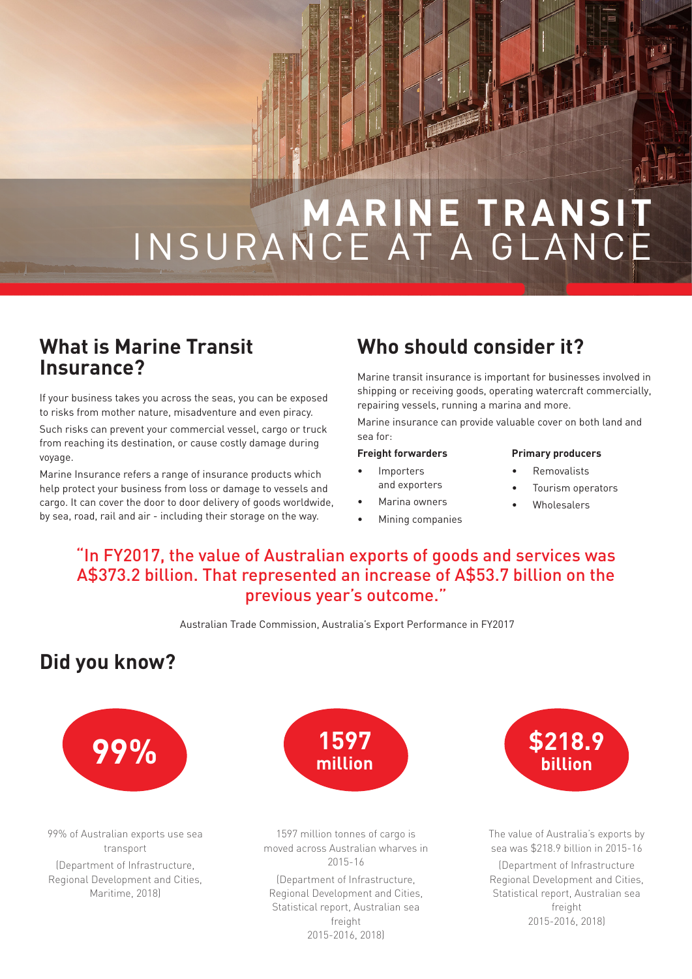# **MARINE TRANSIT** INSURANCE AT A GLANCE

#### **What is Marine Transit Insurance?**

If your business takes you across the seas, you can be exposed to risks from mother nature, misadventure and even piracy.

Such risks can prevent your commercial vessel, cargo or truck from reaching its destination, or cause costly damage during voyage.

Marine Insurance refers a range of insurance products which help protect your business from loss or damage to vessels and cargo. It can cover the door to door delivery of goods worldwide, by sea, road, rail and air - including their storage on the way.

## **Who should consider it?**

Marine transit insurance is important for businesses involved in shipping or receiving goods, operating watercraft commercially, repairing vessels, running a marina and more.

Marine insurance can provide valuable cover on both land and sea for:

#### **Freight forwarders Importers**

and exporters Marina owners • Mining companies

#### **Primary producers**

- Removalists
- Tourism operators
- Wholesalers

#### "In FY2017, the value of Australian exports of goods and services was A\$373.2 billion. That represented an increase of A\$53.7 billion on the previous year's outcome."

Australian Trade Commission, Australia's Export Performance in FY2017

### **Did you know?**



99% of Australian exports use sea transport

(Department of Infrastructure, Regional Development and Cities, Maritime, 2018)



1597 million tonnes of cargo is moved across Australian wharves in 2015-16

(Department of Infrastructure, Regional Development and Cities, Statistical report, Australian sea freight 2015-2016, 2018)



The value of Australia's exports by sea was \$218.9 billion in 2015-16

(Department of Infrastructure Regional Development and Cities, Statistical report, Australian sea freight 2015-2016, 2018)